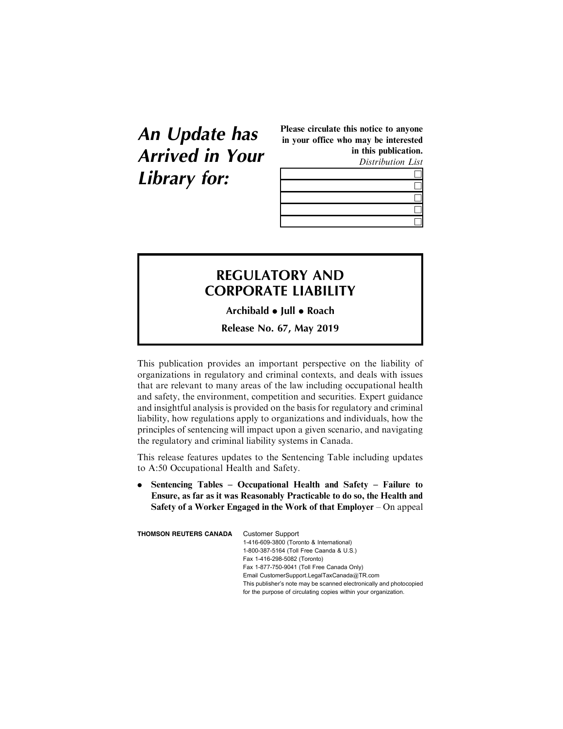## **An Update has Arrived in Your Library for:**

Please circulate this notice to anyone in your office who may be interested in this publication.

Distribution List

## **REGULATORY AND CORPORATE LIABILITY**

**Archibald** . **Jull** . **Roach**

**Release No. 67, May 2019**

This publication provides an important perspective on the liability of organizations in regulatory and criminal contexts, and deals with issues that are relevant to many areas of the law including occupational health and safety, the environment, competition and securities. Expert guidance and insightful analysis is provided on the basis for regulatory and criminal liability, how regulations apply to organizations and individuals, how the principles of sentencing will impact upon a given scenario, and navigating the regulatory and criminal liability systems in Canada.

This release features updates to the Sentencing Table including updates to A:50 Occupational Health and Safety.

. Sentencing Tables – Occupational Health and Safety – Failure to Ensure, as far as it was Reasonably Practicable to do so, the Health and Safety of a Worker Engaged in the Work of that Employer – On appeal

**THOMSON REUTERS CANADA** Customer Support 1-416-609-3800 (Toronto & International) 1-800-387-5164 (Toll Free Caanda & U.S.) Fax 1-416-298-5082 (Toronto) Fax 1-877-750-9041 (Toll Free Canada Only) Email CustomerSupport.LegalTaxCanada@TR.com This publisher's note may be scanned electronically and photocopied for the purpose of circulating copies within your organization.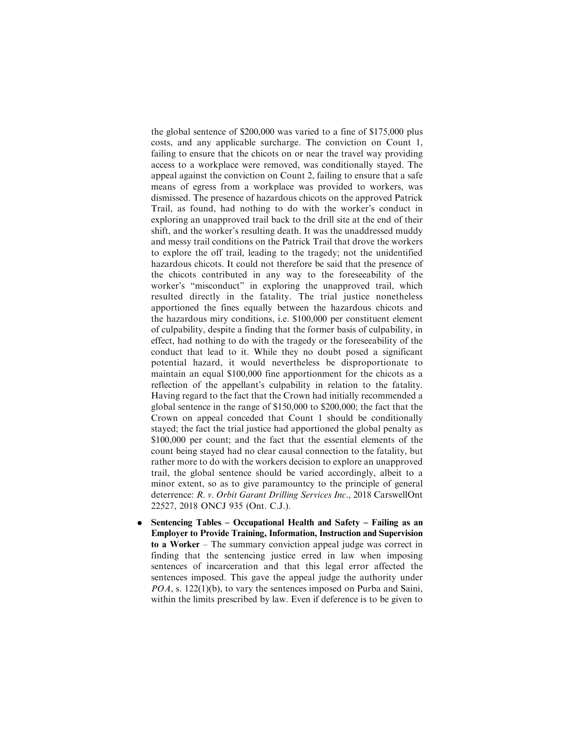the global sentence of \$200,000 was varied to a fine of \$175,000 plus costs, and any applicable surcharge. The conviction on Count 1, failing to ensure that the chicots on or near the travel way providing access to a workplace were removed, was conditionally stayed. The appeal against the conviction on Count 2, failing to ensure that a safe means of egress from a workplace was provided to workers, was dismissed. The presence of hazardous chicots on the approved Patrick Trail, as found, had nothing to do with the worker's conduct in exploring an unapproved trail back to the drill site at the end of their shift, and the worker's resulting death. It was the unaddressed muddy and messy trail conditions on the Patrick Trail that drove the workers to explore the off trail, leading to the tragedy; not the unidentified hazardous chicots. It could not therefore be said that the presence of the chicots contributed in any way to the foreseeability of the worker's "misconduct" in exploring the unapproved trail, which resulted directly in the fatality. The trial justice nonetheless apportioned the fines equally between the hazardous chicots and the hazardous miry conditions, i.e. \$100,000 per constituent element of culpability, despite a finding that the former basis of culpability, in effect, had nothing to do with the tragedy or the foreseeability of the conduct that lead to it. While they no doubt posed a significant potential hazard, it would nevertheless be disproportionate to maintain an equal \$100,000 fine apportionment for the chicots as a reflection of the appellant's culpability in relation to the fatality. Having regard to the fact that the Crown had initially recommended a global sentence in the range of \$150,000 to \$200,000; the fact that the Crown on appeal conceded that Count 1 should be conditionally stayed; the fact the trial justice had apportioned the global penalty as \$100,000 per count; and the fact that the essential elements of the count being stayed had no clear causal connection to the fatality, but rather more to do with the workers decision to explore an unapproved trail, the global sentence should be varied accordingly, albeit to a minor extent, so as to give paramountcy to the principle of general deterrence: R. v. Orbit Garant Drilling Services Inc., 2018 CarswellOnt 22527, 2018 ONCJ 935 (Ont. C.J.).

. Sentencing Tables – Occupational Health and Safety – Failing as an Employer to Provide Training, Information, Instruction and Supervision to a Worker – The summary conviction appeal judge was correct in finding that the sentencing justice erred in law when imposing sentences of incarceration and that this legal error affected the sentences imposed. This gave the appeal judge the authority under POA, s. 122(1)(b), to vary the sentences imposed on Purba and Saini, within the limits prescribed by law. Even if deference is to be given to